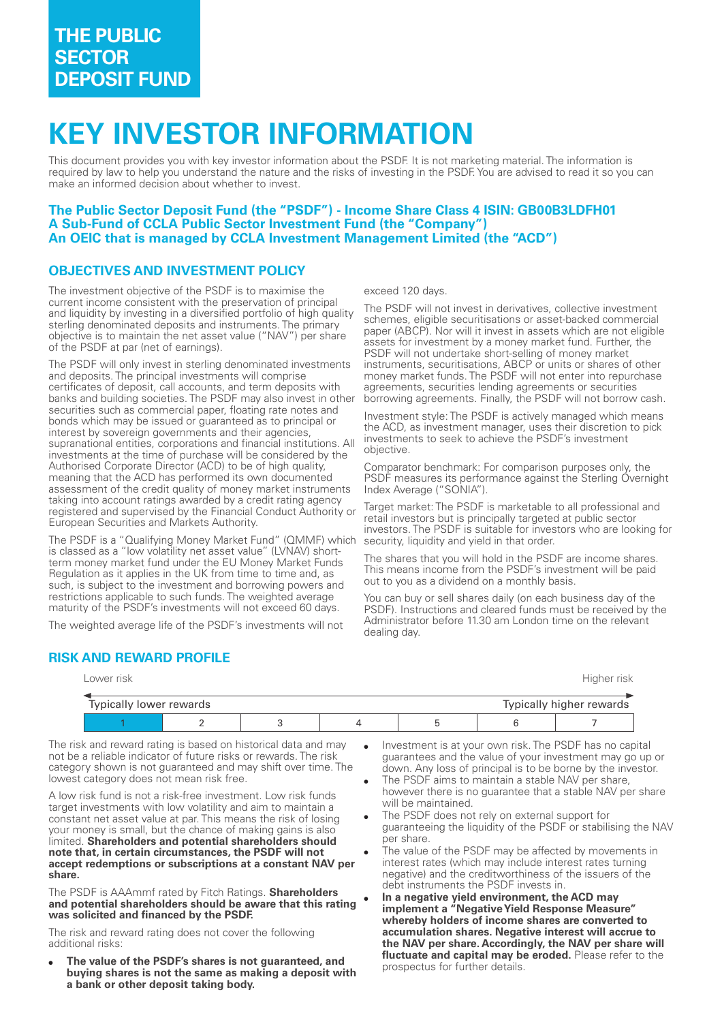# **KEY INVESTOR INFORMATION**

This document provides you with key investor information about the PSDF. It is not marketing material. The information is required by law to help you understand the nature and the risks of investing in the PSDF. You are advised to read it so you can make an informed decision about whether to invest.

#### **The Public Sector Deposit Fund (the "PSDF") Income Share Class 4 ISIN: GB00B3LDFH01 A SubFund of CCLA Public Sector Investment Fund (the "Company") An OEIC that is managed by CCLA Investment Management Limited (the "ACD")**

### **OBJECTIVES AND INVESTMENT POLICY**

The investment objective of the PSDF is to maximise the current income consistent with the preservation of principal and liquidity by investing in a diversified portfolio of high quality sterling denominated deposits and instruments. The primary objective is to maintain the net asset value ("NAV") per share of the PSDF at par (net of earnings).

The PSDF will only invest in sterling denominated investments and deposits. The principal investments will comprise certificates of deposit, call accounts, and term deposits with banks and building societies. The PSDF may also invest in other securities such as commercial paper, floating rate notes and bonds which may be issued or guaranteed as to principal or interest by sovereign governments and their agencies, supranational entities, corporations and financial institutions. All investments at the time of purchase will be considered by the Authorised Corporate Director (ACD) to be of high quality, meaning that the ACD has performed its own documented assessment of the credit quality of money market instruments taking into account ratings awarded by a credit rating agency registered and supervised by the Financial Conduct Authority or European Securities and Markets Authority.

The PSDF is a "Qualifying Money Market Fund" (QMMF) which is classed as a "low volatility net asset value" (LVNAV) shortterm money market fund under the EU Money Market Funds Regulation as it applies in the UK from time to time and, as such, is subject to the investment and borrowing powers and restrictions applicable to such funds. The weighted average maturity of the PSDF's investments will not exceed 60 days.

The weighted average life of the PSDF's investments will not

## **RISK AND REWARD PROFILE**

exceed 120 days.

The PSDF will not invest in derivatives, collective investment schemes, eligible securitisations or asset-backed commercial paper (ABCP). Nor will it invest in assets which are not eligible assets for investment by a money market fund. Further, the PSDF will not undertake short-selling of money market instruments, securitisations, ABCP or units or shares of other money market funds. The PSDF will not enter into repurchase agreements, securities lending agreements or securities borrowing agreements. Finally, the PSDF will not borrow cash.

Investment style: The PSDF is actively managed which means the ACD, as investment manager, uses their discretion to pick investments to seek to achieve the PSDF's investment objective.

Comparator benchmark: For comparison purposes only, the PSDF measures its performance against the Sterling Overnight Index Average ("SONIA").

Target market: The PSDF is marketable to all professional and retail investors but is principally targeted at public sector investors. The PSDF is suitable for investors who are looking for security, liquidity and yield in that order.

The shares that you will hold in the PSDF are income shares. This means income from the PSDF's investment will be paid out to you as a dividend on a monthly basis.

You can buy or sell shares daily (on each business day of the PSDF). Instructions and cleared funds must be received by the Administrator before 11.30 am London time on the relevant dealing day.

Lower risk Higher risk

| Typically higher rewards<br>Typically lower rewards |  |  |  |  |  |  |
|-----------------------------------------------------|--|--|--|--|--|--|
|                                                     |  |  |  |  |  |  |

The risk and reward rating is based on historical data and may not be a reliable indicator of future risks or rewards. The risk category shown is not guaranteed and may shift over time. The lowest category does not mean risk free.

A low risk fund is not a risk-free investment. Low risk funds target investments with low volatility and aim to maintain a constant net asset value at par. This means the risk of losing your money is small, but the chance of making gains is also limited. **Shareholders and potential shareholders should note that, in certain circumstances, the PSDF will not accept redemptions or subscriptions at a constant NAV per share.**

The PSDF is AAAmmf rated by Fitch Ratings. **Shareholders and potential shareholders should be aware that this rating was solicited and financed by the PSDF.**

The risk and reward rating does not cover the following additional risks:

The value of the PSDF's shares is not quaranteed, and **buying shares is not the same as making a deposit with a bank or other deposit taking body.**

- Investment is at your own risk. The PSDF has no capital guarantees and the value of your investment may go up or down. Any loss of principal is to be borne by the investor.
- The PSDF aims to maintain a stable NAV per share. however there is no guarantee that a stable NAV per share will be maintained.
- The PSDF does not rely on external support for guaranteeing the liquidity of the PSDF or stabilising the NAV per share.
- The value of the PSDF may be affected by movements in interest rates (which may include interest rates turning negative) and the creditworthiness of the issuers of the debt instruments the PSDF invests in.
- In a negative yield environment, the ACD mav **implement a "Negative Yield Response Measure" whereby holders of income shares are converted to accumulation shares. Negative interest will accrue to the NAV per share. Accordingly, the NAV per share will fluctuate and capital may be eroded.** Please refer to the prospectus for further details.